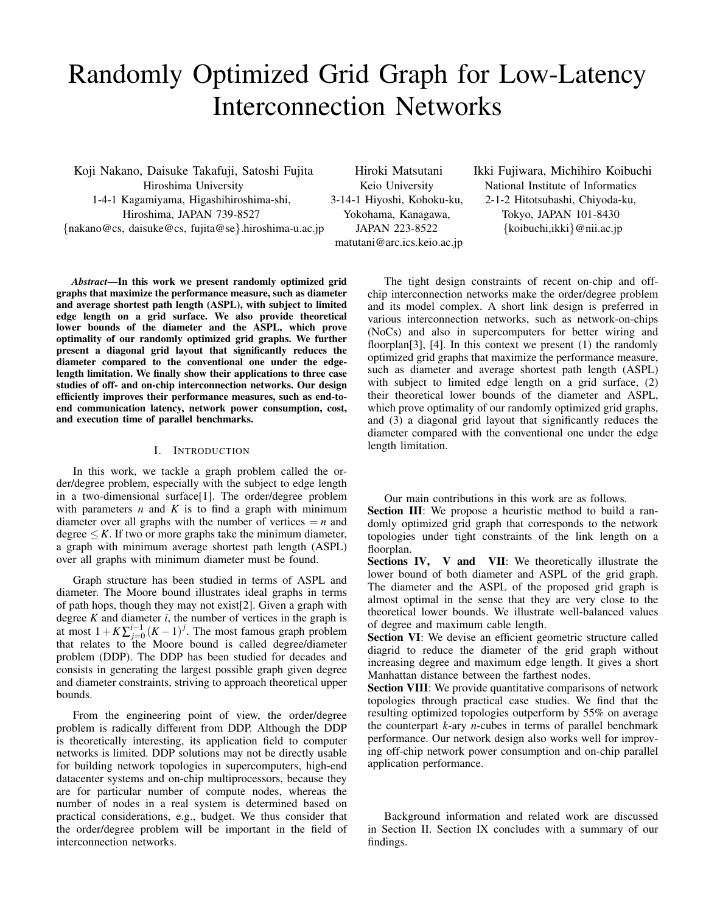# Randomly Optimized Grid Graph for Low-Latency Interconnection Networks

Koji Nakano, Daisuke Takafuji, Satoshi Fujita Hiroshima University 1-4-1 Kagamiyama, Higashihiroshima-shi, Hiroshima, JAPAN 739-8527 {nakano@cs, daisuke@cs, fujita@se}.hiroshima-u.ac.jp

Hiroki Matsutani Keio University 3-14-1 Hiyoshi, Kohoku-ku, Yokohama, Kanagawa, JAPAN 223-8522 matutani@arc.ics.keio.ac.jp Ikki Fujiwara, Michihiro Koibuchi National Institute of Informatics 2-1-2 Hitotsubashi, Chiyoda-ku, Tokyo, JAPAN 101-8430 {koibuchi,ikki}@nii.ac.jp

*Abstract*—In this work we present randomly optimized grid graphs that maximize the performance measure, such as diameter and average shortest path length (ASPL), with subject to limited edge length on a grid surface. We also provide theoretical lower bounds of the diameter and the ASPL, which prove optimality of our randomly optimized grid graphs. We further present a diagonal grid layout that significantly reduces the diameter compared to the conventional one under the edgelength limitation. We finally show their applications to three case studies of off- and on-chip interconnection networks. Our design efficiently improves their performance measures, such as end-toend communication latency, network power consumption, cost, and execution time of parallel benchmarks.

# I. INTRODUCTION

In this work, we tackle a graph problem called the order/degree problem, especially with the subject to edge length in a two-dimensional surface[1]. The order/degree problem with parameters  $n$  and  $K$  is to find a graph with minimum diameter over all graphs with the number of vertices  $= n$  and degree  $\leq K$ . If two or more graphs take the minimum diameter, a graph with minimum average shortest path length (ASPL) over all graphs with minimum diameter must be found.

Graph structure has been studied in terms of ASPL and diameter. The Moore bound illustrates ideal graphs in terms of path hops, though they may not exist[2]. Given a graph with degree  $K$  and diameter  $i$ , the number of vertices in the graph is at most  $1 + K \sum_{j=0}^{i-1} (K-1)^j$ . The most famous graph problem that relates to the Moore bound is called degree/diameter problem (DDP). The DDP has been studied for decades and consists in generating the largest possible graph given degree and diameter constraints, striving to approach theoretical upper bounds.

From the engineering point of view, the order/degree problem is radically different from DDP. Although the DDP is theoretically interesting, its application field to computer networks is limited. DDP solutions may not be directly usable for building network topologies in supercomputers, high-end datacenter systems and on-chip multiprocessors, because they are for particular number of compute nodes, whereas the number of nodes in a real system is determined based on practical considerations, e.g., budget. We thus consider that the order/degree problem will be important in the field of interconnection networks.

The tight design constraints of recent on-chip and offchip interconnection networks make the order/degree problem and its model complex. A short link design is preferred in various interconnection networks, such as network-on-chips (NoCs) and also in supercomputers for better wiring and floorplan<sup>[3]</sup>, [4]. In this context we present (1) the randomly optimized grid graphs that maximize the performance measure, such as diameter and average shortest path length (ASPL) with subject to limited edge length on a grid surface,  $(2)$ their theoretical lower bounds of the diameter and ASPL, which prove optimality of our randomly optimized grid graphs, and (3) a diagonal grid layout that significantly reduces the diameter compared with the conventional one under the edge length limitation.

Our main contributions in this work are as follows.

Section III: We propose a heuristic method to build a randomly optimized grid graph that corresponds to the network topologies under tight constraints of the link length on a floorplan.

Sections IV, V and VII: We theoretically illustrate the lower bound of both diameter and ASPL of the grid graph. The diameter and the ASPL of the proposed grid graph is almost optimal in the sense that they are very close to the theoretical lower bounds. We illustrate well-balanced values of degree and maximum cable length.

Section VI: We devise an efficient geometric structure called diagrid to reduce the diameter of the grid graph without increasing degree and maximum edge length. It gives a short Manhattan distance between the farthest nodes.

Section VIII: We provide quantitative comparisons of network topologies through practical case studies. We find that the resulting optimized topologies outperform by 55% on average the counterpart *k*-ary *n*-cubes in terms of parallel benchmark performance. Our network design also works well for improving off-chip network power consumption and on-chip parallel application performance.

Background information and related work are discussed in Section II. Section IX concludes with a summary of our findings.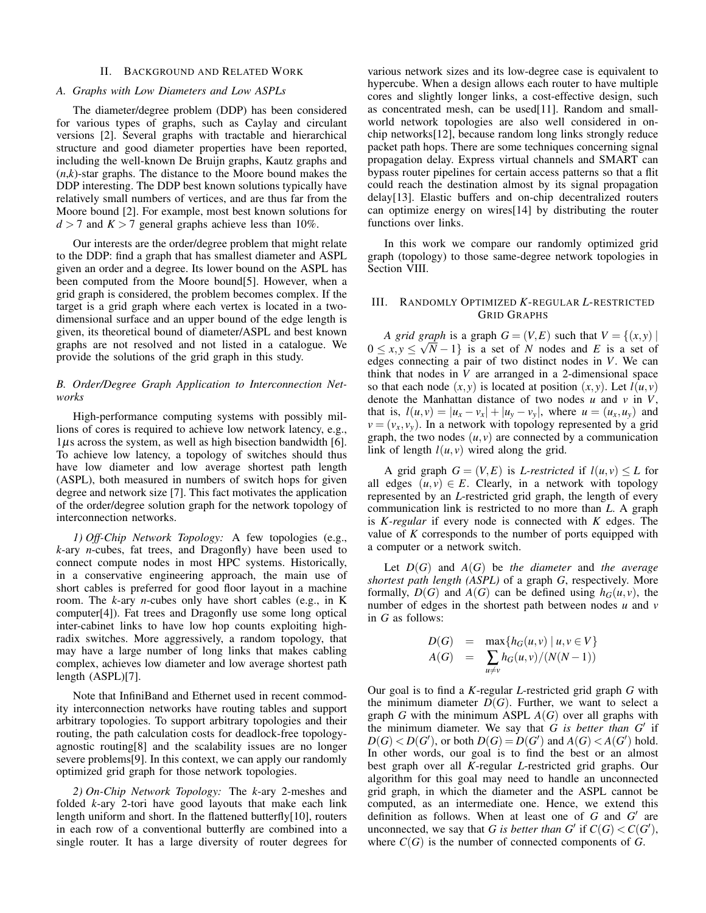#### II. BACKGROUND AND RELATED WORK

#### *A. Graphs with Low Diameters and Low ASPLs*

The diameter/degree problem (DDP) has been considered for various types of graphs, such as Caylay and circulant versions [2]. Several graphs with tractable and hierarchical structure and good diameter properties have been reported, including the well-known De Bruijn graphs, Kautz graphs and  $(n, k)$ -star graphs. The distance to the Moore bound makes the DDP interesting. The DDP best known solutions typically have relatively small numbers of vertices, and are thus far from the Moore bound [2]. For example, most best known solutions for  $d > 7$  and  $K > 7$  general graphs achieve less than 10%.

Our interests are the order/degree problem that might relate to the DDP: find a graph that has smallest diameter and ASPL given an order and a degree. Its lower bound on the ASPL has been computed from the Moore bound[5]. However, when a grid graph is considered, the problem becomes complex. If the target is a grid graph where each vertex is located in a twodimensional surface and an upper bound of the edge length is given, its theoretical bound of diameter/ASPL and best known graphs are not resolved and not listed in a catalogue. We provide the solutions of the grid graph in this study.

## *B. Order/Degree Graph Application to Interconnection Networks*

High-performance computing systems with possibly millions of cores is required to achieve low network latency, e.g.,  $1\mu s$  across the system, as well as high bisection bandwidth [6]. To achieve low latency, a topology of switches should thus have low diameter and low average shortest path length (ASPL), both measured in numbers of switch hops for given degree and network size [7]. This fact motivates the application of the order/degree solution graph for the network topology of interconnection networks.

*1) Off-Chip Network Topology:* A few topologies (e.g., *k*-ary *n*-cubes, fat trees, and Dragonfly) have been used to connect compute nodes in most HPC systems. Historically, in a conservative engineering approach, the main use of short cables is preferred for good floor layout in a machine room. The *k*-ary *n*-cubes only have short cables (e.g., in K computer[4]). Fat trees and Dragonfly use some long optical inter-cabinet links to have low hop counts exploiting highradix switches. More aggressively, a random topology, that may have a large number of long links that makes cabling complex, achieves low diameter and low average shortest path length (ASPL)[7].

Note that InfiniBand and Ethernet used in recent commodity interconnection networks have routing tables and support arbitrary topologies. To support arbitrary topologies and their routing, the path calculation costs for deadlock-free topologyagnostic routing[8] and the scalability issues are no longer severe problems[9]. In this context, we can apply our randomly optimized grid graph for those network topologies.

*2) On-Chip Network Topology:* The *k*-ary 2-meshes and folded *k*-ary 2-tori have good layouts that make each link length uniform and short. In the flattened butterfly[10], routers in each row of a conventional butterfly are combined into a single router. It has a large diversity of router degrees for various network sizes and its low-degree case is equivalent to hypercube. When a design allows each router to have multiple cores and slightly longer links, a cost-effective design, such as concentrated mesh, can be used[11]. Random and smallworld network topologies are also well considered in onchip networks[12], because random long links strongly reduce packet path hops. There are some techniques concerning signal propagation delay. Express virtual channels and SMART can bypass router pipelines for certain access patterns so that a flit could reach the destination almost by its signal propagation delay[13]. Elastic buffers and on-chip decentralized routers can optimize energy on wires[14] by distributing the router functions over links.

In this work we compare our randomly optimized grid graph (topology) to those same-degree network topologies in Section VIII.

## III. RANDOMLY OPTIMIZED *K*-REGULAR *L*-RESTRICTED GRID GRAPHS

*A grid graph* is a graph  $G = (V, E)$  such that  $V = \{(x, y) \mid$  $0 \le x, y \le \sqrt{N-1}$  is a set of *N* nodes and *E* is a set of *N* edges connecting a pair of two distinct nodes in *V*. We can think that nodes in *V* are arranged in a 2-dimensional space so that each node  $(x, y)$  is located at position  $(x, y)$ . Let  $l(u, v)$ denote the Manhattan distance of two nodes *u* and *v* in *V*, that is,  $l(u, v) = |u_x - v_x| + |u_y - v_y|$ , where  $u = (u_x, u_y)$  and  $v = (v_x, v_y)$ . In a network with topology represented by a grid graph, the two nodes  $(u, v)$  are connected by a communication link of length  $l(u, v)$  wired along the grid.

A grid graph  $G = (V, E)$  is *L-restricted* if  $l(u, v) \leq L$  for all edges  $(u, v) \in E$ . Clearly, in a network with topology represented by an *L*-restricted grid graph, the length of every communication link is restricted to no more than *L*. A graph is *K-regular* if every node is connected with *K* edges. The value of *K* corresponds to the number of ports equipped with a computer or a network switch.

Let *D*(*G*) and *A*(*G*) be *the diameter* and *the average shortest path length (ASPL)* of a graph *G*, respectively. More formally,  $D(G)$  and  $A(G)$  can be defined using  $h_G(u, v)$ , the number of edges in the shortest path between nodes *u* and *v* in *G* as follows:

$$
D(G) = \max\{h_G(u, v) \mid u, v \in V\}
$$
  

$$
A(G) = \sum_{u \neq v} h_G(u, v) / (N(N-1))
$$

Our goal is to find a *K*-regular *L*-restricted grid graph *G* with the minimum diameter  $D(G)$ . Further, we want to select a graph *G* with the minimum ASPL *A*(*G*) over all graphs with the minimum diameter. We say that *G is better than G*′ if  $D(G) < D(G')$ , or both  $D(G) = D(G')$  and  $A(G) < A(G')$  hold. In other words, our goal is to find the best or an almost best graph over all *K*-regular *L*-restricted grid graphs. Our algorithm for this goal may need to handle an unconnected grid graph, in which the diameter and the ASPL cannot be computed, as an intermediate one. Hence, we extend this definition as follows. When at least one of *G* and *G'* are unconnected, we say that *G* is better than *G'* if  $C(G) < C(G')$ , where  $C(G)$  is the number of connected components of  $G$ .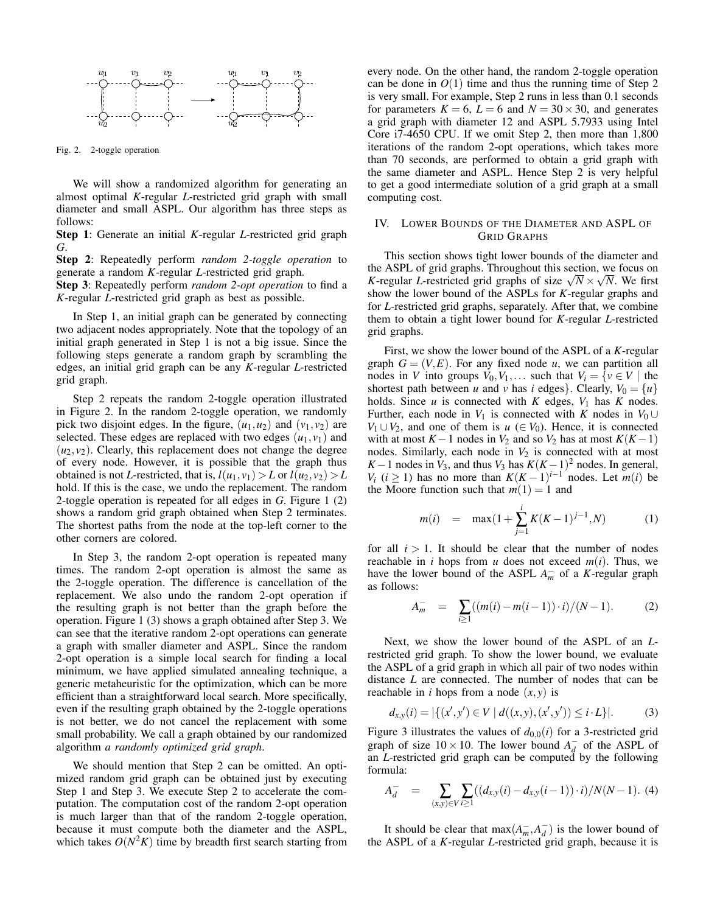

Fig. 2. 2-toggle operation

We will show a randomized algorithm for generating an almost optimal *K*-regular *L*-restricted grid graph with small diameter and small ASPL. Our algorithm has three steps as follows:

Step 1: Generate an initial *K*-regular *L*-restricted grid graph *G*.

Step 2: Repeatedly perform *random 2-toggle operation* to generate a random *K*-regular *L*-restricted grid graph.

Step 3: Repeatedly perform *random 2-opt operation* to find a *K*-regular *L*-restricted grid graph as best as possible.

In Step 1, an initial graph can be generated by connecting two adjacent nodes appropriately. Note that the topology of an initial graph generated in Step 1 is not a big issue. Since the following steps generate a random graph by scrambling the edges, an initial grid graph can be any *K*-regular *L*-restricted grid graph.

Step 2 repeats the random 2-toggle operation illustrated in Figure 2. In the random 2-toggle operation, we randomly pick two disjoint edges. In the figure,  $(u_1, u_2)$  and  $(v_1, v_2)$  are selected. These edges are replaced with two edges  $(u_1, v_1)$  and  $(u_2, v_2)$ . Clearly, this replacement does not change the degree of every node. However, it is possible that the graph thus obtained is not *L*-restricted, that is,  $l(u_1, v_1) > L$  or  $l(u_2, v_2) > L$ hold. If this is the case, we undo the replacement. The random 2-toggle operation is repeated for all edges in *G*. Figure 1 (2) shows a random grid graph obtained when Step 2 terminates. The shortest paths from the node at the top-left corner to the other corners are colored.

In Step 3, the random 2-opt operation is repeated many times. The random 2-opt operation is almost the same as the 2-toggle operation. The difference is cancellation of the replacement. We also undo the random 2-opt operation if the resulting graph is not better than the graph before the operation. Figure 1 (3) shows a graph obtained after Step 3. We can see that the iterative random 2-opt operations can generate a graph with smaller diameter and ASPL. Since the random 2-opt operation is a simple local search for finding a local minimum, we have applied simulated annealing technique, a generic metaheuristic for the optimization, which can be more efficient than a straightforward local search. More specifically, even if the resulting graph obtained by the 2-toggle operations is not better, we do not cancel the replacement with some small probability. We call a graph obtained by our randomized algorithm *a randomly optimized grid graph*.

We should mention that Step 2 can be omitted. An optimized random grid graph can be obtained just by executing Step 1 and Step 3. We execute Step 2 to accelerate the computation. The computation cost of the random 2-opt operation is much larger than that of the random 2-toggle operation, because it must compute both the diameter and the ASPL, which takes  $O(N^2K)$  time by breadth first search starting from

every node. On the other hand, the random 2-toggle operation can be done in  $O(1)$  time and thus the running time of Step 2 is very small. For example, Step 2 runs in less than 0.1 seconds for parameters  $K = 6$ ,  $L = 6$  and  $N = 30 \times 30$ , and generates a grid graph with diameter 12 and ASPL 5.7933 using Intel Core i7-4650 CPU. If we omit Step 2, then more than 1,800 iterations of the random 2-opt operations, which takes more than 70 seconds, are performed to obtain a grid graph with the same diameter and ASPL. Hence Step 2 is very helpful to get a good intermediate solution of a grid graph at a small computing cost.

#### IV. LOWER BOUNDS OF THE DIAMETER AND ASPL OF GRID GRAPHS

This section shows tight lower bounds of the diameter and the ASPL of grid graphs. Throughout this section, we focus on *K*-regular *L*-restricted grid graphs of size  $\sqrt{N} \times \sqrt{N}$ . We first show the lower bound of the ASPLs for *K*-regular graphs and for *L*-restricted grid graphs, separately. After that, we combine them to obtain a tight lower bound for *K*-regular *L*-restricted grid graphs.

First, we show the lower bound of the ASPL of a *K*-regular graph  $G = (V, E)$ . For any fixed node *u*, we can partition all nodes in *V* into groups  $V_0, V_1, \ldots$  such that  $V_i = \{v \in V \mid \text{the }$ shortest path between *u* and *v* has *i* edges}. Clearly,  $V_0 = \{u\}$ holds. Since  $u$  is connected with  $K$  edges,  $V_1$  has  $K$  nodes. Further, each node in  $V_1$  is connected with *K* nodes in  $V_0 \cup$ *V*<sub>1</sub> ∪*V*<sub>2</sub>, and one of them is *u* (∈ *V*<sub>0</sub>). Hence, it is connected with at most  $K-1$  nodes in  $V_2$  and so  $V_2$  has at most  $K(K-1)$ nodes. Similarly, each node in  $V_2$  is connected with at most  $K-1$  nodes in  $V_3$ , and thus  $V_3$  has  $K(K-1)^2$  nodes. In general, *V<sub>i</sub>* ( $i \ge 1$ ) has no more than  $K(K-1)^{i-1}$  nodes. Let  $m(i)$  be the Moore function such that  $m(1) = 1$  and

$$
m(i) = \max(1 + \sum_{j=1}^{i} K(K-1)^{j-1}, N) \tag{1}
$$

for all  $i > 1$ . It should be clear that the number of nodes reachable in *i* hops from *u* does not exceed  $m(i)$ . Thus, we have the lower bound of the ASPL  $A_m^-$  of a *K*-regular graph as follows:

$$
A_m^- = \sum_{i \ge 1} ((m(i) - m(i-1)) \cdot i) / (N-1). \tag{2}
$$

Next, we show the lower bound of the ASPL of an *L*restricted grid graph. To show the lower bound, we evaluate the ASPL of a grid graph in which all pair of two nodes within distance *L* are connected. The number of nodes that can be reachable in *i* hops from a node  $(x, y)$  is

$$
d_{x,y}(i) = |\{(x',y') \in V \mid d((x,y),(x',y')) \leq i \cdot L\}|. \tag{3}
$$

Figure 3 illustrates the values of  $d_{0,0}(i)$  for a 3-restricted grid graph of size  $10 \times 10$ . The lower bound  $A_d^-$  of the ASPL of an *L*-restricted grid graph can be computed by the following formula:

$$
A_d^- = \sum_{(x,y)\in V} \sum_{i\geq 1} ((d_{x,y}(i) - d_{x,y}(i-1)) \cdot i) / N(N-1). \tag{4}
$$

It should be clear that  $max(A_m, A_d)$  is the lower bound of the ASPL of a *K*-regular *L*-restricted grid graph, because it is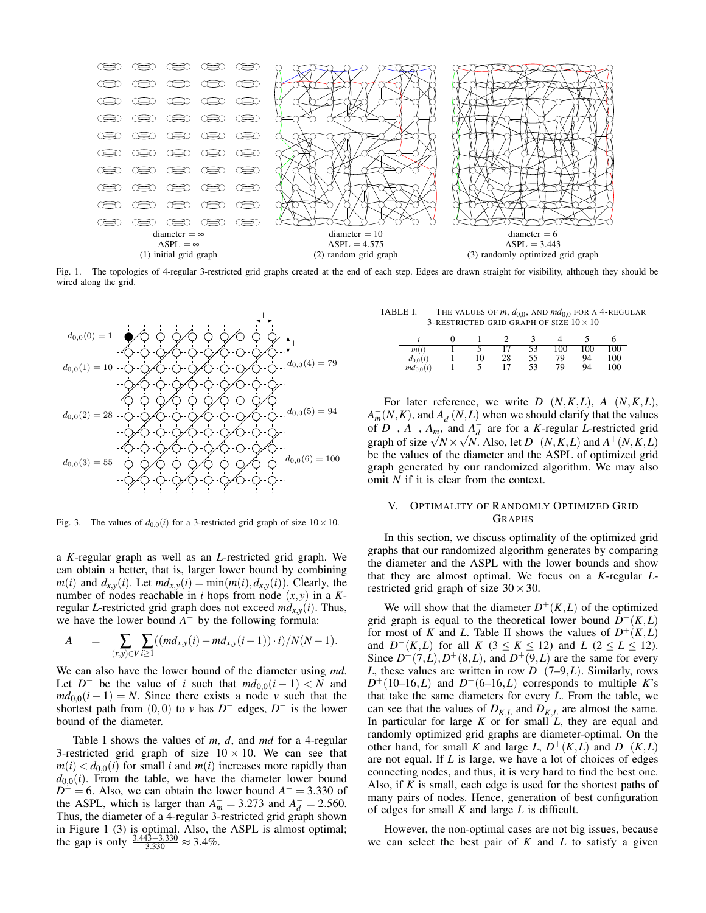

Fig. 1. The topologies of 4-regular 3-restricted grid graphs created at the end of each step. Edges are drawn straight for visibility, although they should be wired along the grid.



Fig. 3. The values of  $d_{0,0}(i)$  for a 3-restricted grid graph of size  $10 \times 10$ .

a *K*-regular graph as well as an *L*-restricted grid graph. We can obtain a better, that is, larger lower bound by combining  $m(i)$  and  $d_{x,y}(i)$ . Let  $md_{x,y}(i) = \min(m(i), d_{x,y}(i))$ . Clearly, the number of nodes reachable in *i* hops from node  $(x, y)$  in a Kregular *L*-restricted grid graph does not exceed  $md_{x,y}(i)$ . Thus, we have the lower bound  $A^-$  by the following formula:

$$
A^{-} = \sum_{(x,y)\in V} \sum_{i\geq 1} ((md_{x,y}(i) - md_{x,y}(i-1)) \cdot i) / N(N-1).
$$

We can also have the lower bound of the diameter using *md*. Let  $D^-$  be the value of *i* such that  $md_{0,0}(i-1) < N$  and  $md_{0.0}(i-1) = N$ . Since there exists a node *v* such that the shortest path from  $(0,0)$  to *v* has  $D^-$  edges,  $D^-$  is the lower bound of the diameter.

Table I shows the values of *m*, *d*, and *md* for a 4-regular 3-restricted grid graph of size  $10 \times 10$ . We can see that  $m(i) < d_{0,0}(i)$  for small *i* and  $m(i)$  increases more rapidly than  $d_{0,0}(i)$ . From the table, we have the diameter lower bound  $D^- = 6$ . Also, we can obtain the lower bound  $A^- = 3.330$  of the ASPL, which is larger than  $A_m^- = 3.273$  and  $A_d^- = 2.560$ . Thus, the diameter of a 4-regular 3-restricted grid graph shown in Figure 1 (3) is optimal. Also, the ASPL is almost optimal; the gap is only  $\frac{3.443 - 3.330}{3.330} \approx 3.4\%$ .

TABLE I. THE VALUES OF  $m$ ,  $d_{0.0}$ , AND  $md_{0.0}$  FOR A 4-REGULAR 3-RESTRICTED GRID GRAPH OF SIZE  $10 \times 10$ 

| m(i)          |    |    |    | 100 | 00 | 00  |
|---------------|----|----|----|-----|----|-----|
| $d_{0,0}(i)$  | 10 | 28 | 55 | 70  | 94 | 100 |
| $md_{0,0}(i)$ |    |    | 53 | 70  | 94 | 100 |

For later reference, we write  $D^-(N,K,L)$ ,  $A^-(N,K,L)$ ,  $A_m^-(N,K)$ , and  $A_d^-(N,L)$  when we should clarify that the values of  $D^-$ ,  $A^-$ ,  $A^-_{m}$  and  $A^-_{d}$  are for a *K*-regular *L*-restricted grid graph of size  $\sqrt{N} \times \sqrt{N}$ . Also, let  $D^+(N,K,L)$  and  $A^+(N,K,L)$ be the values of the diameter and the ASPL of optimized grid graph generated by our randomized algorithm. We may also omit *N* if it is clear from the context.

# V. OPTIMALITY OF RANDOMLY OPTIMIZED GRID GRAPHS

In this section, we discuss optimality of the optimized grid graphs that our randomized algorithm generates by comparing the diameter and the ASPL with the lower bounds and show that they are almost optimal. We focus on a *K*-regular *L*restricted grid graph of size  $30 \times 30$ .

We will show that the diameter  $D^+(K,L)$  of the optimized grid graph is equal to the theoretical lower bound  $D^-(K,L)$ for most of *K* and *L*. Table II shows the values of  $D^+(K,L)$ and  $D^{-}(K,L)$  for all  $K$  (3 ≤  $K \le 12$ ) and  $L$  (2 ≤  $L \le 12$ ). Since  $D^+(7,L), D^+(8,L)$ , and  $D^+(9,L)$  are the same for every *L*, these values are written in row  $D^+(7-9,L)$ . Similarly, rows  $D^+(10-16,L)$  and  $D^-(6-16,L)$  corresponds to multiple *K*'s that take the same diameters for every *L*. From the table, we can see that the values of  $D_{K,L}^+$  and  $D_{K,L}^-$  are almost the same. In particular for large  $K$  or for small  $\tilde{L}$ , they are equal and randomly optimized grid graphs are diameter-optimal. On the other hand, for small *K* and large *L*,  $D^+(K,L)$  and  $D^-(K,L)$ are not equal. If *L* is large, we have a lot of choices of edges connecting nodes, and thus, it is very hard to find the best one. Also, if *K* is small, each edge is used for the shortest paths of many pairs of nodes. Hence, generation of best configuration of edges for small *K* and large *L* is difficult.

However, the non-optimal cases are not big issues, because we can select the best pair of *K* and *L* to satisfy a given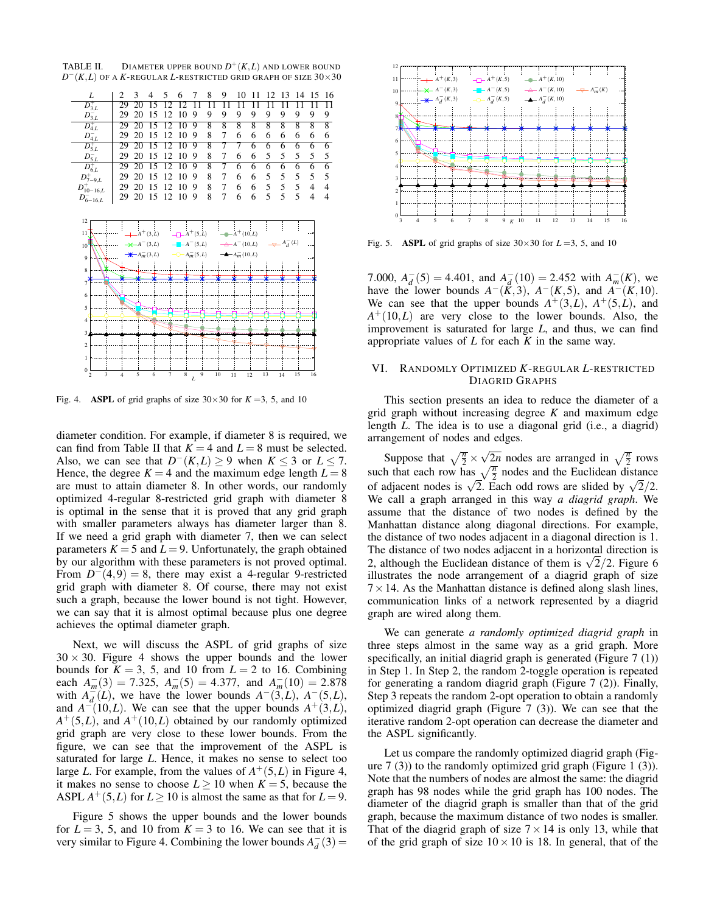TABLE II. DIAMETER UPPER BOUND *D* <sup>+</sup>(*K*,*L*) AND LOWER BOUND  $D^-(K,L)$  of a *K*-regular *L*-restricted grid graph of size  $30 \times 30$ 

| L                                                         | $\overline{c}$ | 3                         | 4            | 5               | 6               | 7               | 8               | 9               | 10                        | 11             | 12             | 13             | 14             | 15             | 16             |
|-----------------------------------------------------------|----------------|---------------------------|--------------|-----------------|-----------------|-----------------|-----------------|-----------------|---------------------------|----------------|----------------|----------------|----------------|----------------|----------------|
| $\overline{D_{3,L}^+}$                                    | 29             | 20                        | 15           | 12              | 12              | $\overline{11}$ | $\overline{11}$ | $\overline{11}$ | $\overline{11}$           | 11             | 11             | 11             | 11             | 11             | 11             |
| $D_{3,L}^-$                                               | 29             | 20                        | 15           | 12              | 10              | 9               | 9               | 9               | 9                         | 9              | 9              | 9              | 9              | 9              | 9              |
| $\overline{D_{4,L}^+}$                                    | 29             | 20                        | 15           | 2               | 10              | 9               | 8               | 8               | 8                         | 8              | 8              | 8              | 8              | 8              | $\overline{8}$ |
| $D_{4,L}^-$                                               | 29             | 20                        | 15           | 12              | 10              | 9               | 8               | 7               | 6                         | 6              | 6              | 6              | 6              | 6              | 6              |
| $D_{5,L}^+$                                               | 29             | 20                        | 15           | $\overline{12}$ | $\overline{10}$ | 9               | $\overline{8}$  | 7               | 7                         | $\overline{6}$ | $\overline{6}$ | $\overline{6}$ | $\overline{6}$ | 6              | $\overline{6}$ |
| $D_{5,L}^-$                                               | 29             | 20                        | 15           | 12              | 10              | 9               | 8               | 7               | 6                         | 6              | 5              | 5              | 5              | 5              | 5              |
| $D_{6,L}^+$                                               | 29             | 20                        | 15           | $\overline{12}$ | $\overline{10}$ | 9               | $\overline{8}$  | 7               | $\overline{6}$            | $\overline{6}$ | $\overline{6}$ | $\overline{6}$ | $\overline{6}$ | $\overline{6}$ | $\overline{6}$ |
| $D^+_{7-9,L}$                                             | 29             | 20                        | 15           | 12              | 10              | 9               | 8               | 7               | 6                         | 6              | 5              | 5              | 5              | 5              | 5              |
| $D_{10-16,L}^{+}$                                         | 29             | 20                        | 15           | 12              | 10              | 9               | 8               | 7               | 6                         | 6              | 5              | 5              | 5              | 4              | $\overline{4}$ |
| $D_{6-16,L}^-$                                            | 29             | 20                        | 15           | 12              | 10              | 9               | 8               | 7               | 6                         | 6              | 5              | 5              | 5              | 4              | $\overline{4}$ |
|                                                           |                |                           |              |                 |                 |                 |                 |                 |                           |                |                |                |                |                |                |
| 12                                                        |                |                           |              |                 |                 |                 |                 |                 |                           |                |                |                |                |                |                |
| 11                                                        |                |                           | $A^{+}(3,L)$ |                 |                 | $A^{+}(5,L)$    |                 |                 | $A^{+}(10,L)$             |                |                |                |                |                |                |
| 10                                                        |                |                           | $-A=(3,L)$   |                 |                 | $-A^{-}(5,L)$   |                 |                 | $\rightarrow A^{-}(10,L)$ |                |                | $A_{d}^{-}(L)$ |                |                |                |
| $\overline{9}$                                            |                | $\bigstar$ - $A_m^-(3,L)$ |              |                 |                 | $A_m^-(5,L)$    |                 |                 | $-A_m^-(10,L)$            |                |                |                |                |                |                |
| 8                                                         |                |                           |              |                 |                 |                 |                 |                 |                           |                |                |                |                |                |                |
| $\overline{\tau}$                                         |                |                           |              |                 |                 |                 |                 |                 |                           |                |                |                |                |                |                |
|                                                           |                |                           |              |                 |                 |                 |                 |                 |                           |                |                |                |                |                |                |
| 6                                                         |                |                           |              |                 |                 |                 |                 |                 |                           |                |                |                |                |                |                |
| 5                                                         |                |                           |              |                 |                 |                 |                 |                 |                           |                |                |                |                |                |                |
| $\overline{4}$                                            |                |                           |              |                 |                 |                 |                 |                 |                           |                |                |                |                |                |                |
| 3                                                         |                |                           |              |                 |                 |                 |                 |                 |                           |                |                |                |                |                |                |
|                                                           |                |                           |              |                 |                 |                 |                 |                 |                           |                |                |                |                |                |                |
| $\overline{2}$                                            |                |                           |              |                 |                 |                 |                 |                 |                           |                |                |                |                |                |                |
| $\mathbf{1}$                                              |                |                           |              |                 |                 |                 |                 |                 |                           |                |                |                |                |                |                |
| $\mathbf{0}$<br>$\overline{\mathbf{3}}$<br>$\overline{c}$ | $\overline{4}$ | 5                         | 6            | $\overline{7}$  | 8               | 9               | 10              |                 | 11                        | 12             | 13             | 14             | 15             | 16             |                |
|                                                           |                |                           |              |                 |                 | L               |                 |                 |                           |                |                |                |                |                |                |

Fig. 4. **ASPL** of grid graphs of size  $30 \times 30$  for  $K = 3, 5$ , and 10

diameter condition. For example, if diameter 8 is required, we can find from Table II that  $K = 4$  and  $L = 8$  must be selected. Also, we can see that  $D^{-}(K,L) \ge 9$  when  $K \le 3$  or  $L \le 7$ . Hence, the degree  $K = 4$  and the maximum edge length  $L = 8$ are must to attain diameter 8. In other words, our randomly optimized 4-regular 8-restricted grid graph with diameter 8 is optimal in the sense that it is proved that any grid graph with smaller parameters always has diameter larger than 8. If we need a grid graph with diameter 7, then we can select parameters  $K = 5$  and  $L = 9$ . Unfortunately, the graph obtained by our algorithm with these parameters is not proved optimal. From  $D^{-}(4,9) = 8$ , there may exist a 4-regular 9-restricted grid graph with diameter 8. Of course, there may not exist such a graph, because the lower bound is not tight. However, we can say that it is almost optimal because plus one degree achieves the optimal diameter graph.

Next, we will discuss the ASPL of grid graphs of size  $30 \times 30$ . Figure 4 shows the upper bounds and the lower bounds for  $K = 3$ , 5, and 10 from  $L = 2$  to 16. Combining each  $A_m^-(3) = 7.325$ ,  $A_m^-(5) = 4.377$ , and  $A_m^-(10) = 2.878$ with  $A_d^-(L)$ , we have the lower bounds  $A^-(3,L)$ ,  $A^-(5,L)$ , and  $A^{-1}(10,L)$ . We can see that the upper bounds  $A^{+}(3,L)$ ,  $A^+(5,L)$ , and  $A^+(10,L)$  obtained by our randomly optimized grid graph are very close to these lower bounds. From the figure, we can see that the improvement of the ASPL is saturated for large *L*. Hence, it makes no sense to select too large *L*. For example, from the values of  $A^+(5,L)$  in Figure 4, it makes no sense to choose  $L \ge 10$  when  $K = 5$ , because the ASPL  $A^+(5,L)$  for  $L \ge 10$  is almost the same as that for  $L = 9$ .

Figure 5 shows the upper bounds and the lower bounds for  $L = 3$ , 5, and 10 from  $K = 3$  to 16. We can see that it is very similar to Figure 4. Combining the lower bounds  $A_d^-(3)$  =



Fig. 5. **ASPL** of grid graphs of size  $30 \times 30$  for  $L = 3$ , 5, and 10

7.000,  $A_d^-(5) = 4.401$ , and  $A_d^-(10) = 2.452$  with  $A_m^-(K)$ , we have the lower bounds  $A^{-}(K,3)$ ,  $A^{-}(K,5)$ , and  $A^{-}(K,10)$ . We can see that the upper bounds  $A^+(3,L)$ ,  $A^+(5,L)$ , and  $A^+(10,L)$  are very close to the lower bounds. Also, the improvement is saturated for large *L*, and thus, we can find appropriate values of *L* for each *K* in the same way.

# VI. RANDOMLY OPTIMIZED *K*-REGULAR *L*-RESTRICTED DIAGRID GRAPHS

This section presents an idea to reduce the diameter of a grid graph without increasing degree *K* and maximum edge length *L*. The idea is to use a diagonal grid (i.e., a diagrid) arrangement of nodes and edges.

Suppose that  $\sqrt{\frac{n}{2}} \times$  $\sqrt{\frac{2n}{2}}$  nodes are arranged in  $\sqrt{\frac{n}{2}}$  rows such that each row has  $\sqrt{\frac{n}{2}}$  nodes and the Euclidean distance of adjacent nodes is  $\sqrt{2}$ . Each odd rows are slided by  $\sqrt{2}/2$ . We call a graph arranged in this way *a diagrid graph*. We assume that the distance of two nodes is defined by the Manhattan distance along diagonal directions. For example, the distance of two nodes adjacent in a diagonal direction is 1. The distance of two nodes adjacent in a horizontal direction is 2, although the Euclidean distance of them is  $\sqrt{2}/2$ . Figure 6 illustrates the node arrangement of a diagrid graph of size  $7 \times 14$ . As the Manhattan distance is defined along slash lines, communication links of a network represented by a diagrid graph are wired along them.

We can generate *a randomly optimized diagrid graph* in three steps almost in the same way as a grid graph. More specifically, an initial diagrid graph is generated (Figure 7 (1)) in Step 1. In Step 2, the random 2-toggle operation is repeated for generating a random diagrid graph (Figure 7 (2)). Finally, Step 3 repeats the random 2-opt operation to obtain a randomly optimized diagrid graph (Figure 7 (3)). We can see that the iterative random 2-opt operation can decrease the diameter and the ASPL significantly.

Let us compare the randomly optimized diagrid graph (Figure 7 (3)) to the randomly optimized grid graph (Figure 1 (3)). Note that the numbers of nodes are almost the same: the diagrid graph has 98 nodes while the grid graph has 100 nodes. The diameter of the diagrid graph is smaller than that of the grid graph, because the maximum distance of two nodes is smaller. That of the diagrid graph of size  $7 \times 14$  is only 13, while that of the grid graph of size  $10 \times 10$  is 18. In general, that of the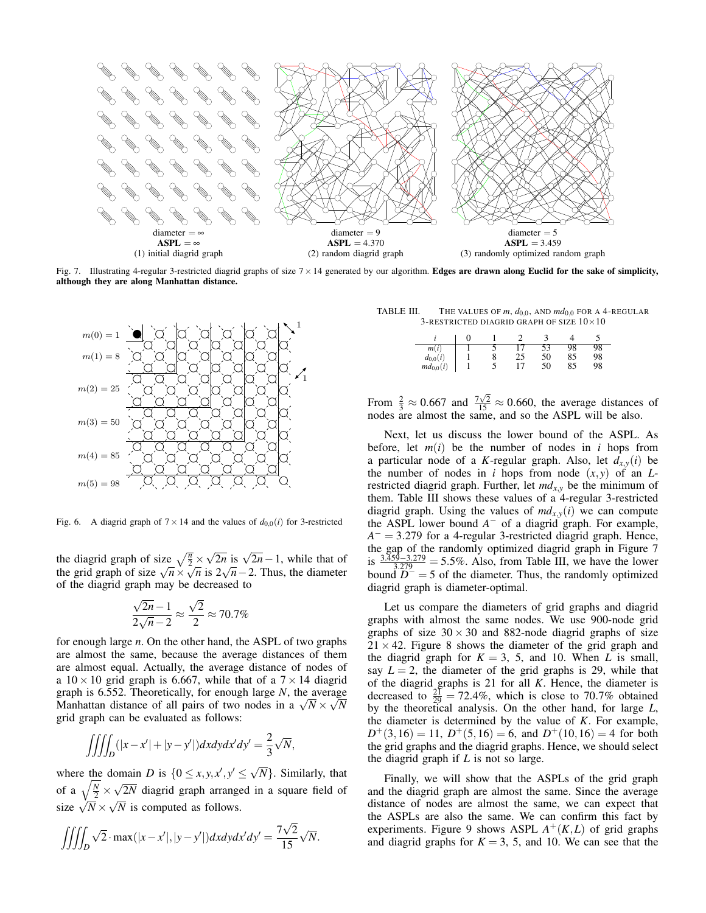

Fig. 7. Illustrating 4-regular 3-restricted diagrid graphs of size  $7 \times 14$  generated by our algorithm. Edges are drawn along Euclid for the sake of simplicity, although they are along Manhattan distance.



Fig. 6. A diagrid graph of  $7 \times 14$  and the values of  $d_{0,0}(i)$  for 3-restricted

the diagrid graph of size  $\sqrt{\frac{n}{2}} \times$  $\sqrt{2n}$  is  $\sqrt{2n} - 1$ , while that of the grid graph of size  $\sqrt{n} \times \sqrt{n}$  is  $2\sqrt{n}$  – 2. Thus, the diameter of the diagrid graph may be decreased to

$$
\frac{\sqrt{2n}-1}{2\sqrt{n}-2} \approx \frac{\sqrt{2}}{2} \approx 70.7\%
$$

for enough large *n*. On the other hand, the ASPL of two graphs are almost the same, because the average distances of them are almost equal. Actually, the average distance of nodes of a  $10 \times 10$  grid graph is 6.667, while that of a  $7 \times 14$  diagrid graph is 6.552. Theoretically, for enough large *N*, the average Manhattan distance of all pairs of two nodes in a  $\sqrt{N} \times \sqrt{N}$ grid graph can be evaluated as follows:

$$
\iiint_D (|x - x'| + |y - y'|) dx dy dx' dy' = \frac{2}{3} \sqrt{N},
$$

where the domain *D* is  $\{0 \le x, y, x', y' \le \sqrt{N}\}\)$ . Similarly, that of a  $\sqrt{\frac{N}{2}} \times$  $\sqrt{2N}$  diagrid graph arranged in a square field of size  $\sqrt{\overline{N}} \times \sqrt{\overline{N}}$  is computed as follows.

$$
\iiint_D \sqrt{2} \cdot \max(|x - x'|, |y - y'|) dx dy dx' dy' = \frac{7\sqrt{2}}{15} \sqrt{N}.
$$

TABLE III. THE VALUES OF  $m$ ,  $d_{0,0}$ , AND  $md_{0,0}$  FOR A 4-REGULAR  $3$ -RESTRICTED DIAGRID GRAPH OF SIZE  $10\times10$ 

| m(i)          |  |    | ັ  | 18 | 98 |
|---------------|--|----|----|----|----|
| $d_{0,0}(i)$  |  | 25 | 50 | 85 | 98 |
| $md_{0,0}(i)$ |  |    | 50 | 85 | 98 |

From  $\frac{2}{3} \approx 0.667$  and  $\frac{7\sqrt{2}}{15} \approx 0.660$ , the average distances of nodes are almost the same, and so the ASPL will be also.

Next, let us discuss the lower bound of the ASPL. As before, let  $m(i)$  be the number of nodes in *i* hops from a particular node of a *K*-regular graph. Also, let  $d_{x,y}(i)$  be the number of nodes in *i* hops from node  $(x, y)$  of an *L*restricted diagrid graph. Further, let  $md_{x,y}$  be the minimum of them. Table III shows these values of a 4-regular 3-restricted diagrid graph. Using the values of  $md_{x,y}(i)$  we can compute the ASPL lower bound  $A^-$  of a diagrid graph. For example, *A* − = 3.279 for a 4-regular 3-restricted diagrid graph. Hence, the gap of the randomly optimized diagrid graph in Figure 7 is  $\frac{3.359-3.279}{3.279} = 5.5\%$ . Also, from Table III, we have the lower bound  $D^-$  = 5 of the diameter. Thus, the randomly optimized diagrid graph is diameter-optimal.

Let us compare the diameters of grid graphs and diagrid graphs with almost the same nodes. We use 900-node grid graphs of size  $30 \times 30$  and 882-node diagrid graphs of size  $21 \times 42$ . Figure 8 shows the diameter of the grid graph and the diagrid graph for  $K = 3$ , 5, and 10. When *L* is small, say  $L = 2$ , the diameter of the grid graphs is 29, while that of the diagrid graphs is 21 for all *K*. Hence, the diameter is decreased to  $\frac{21}{29}$  = 72.4%, which is close to 70.7% obtained by the theoretical analysis. On the other hand, for large *L*, the diameter is determined by the value of *K*. For example,  $D^{+}(3,16) = 11$ ,  $D^{+}(5,16) = 6$ , and  $D^{+}(10,16) = 4$  for both the grid graphs and the diagrid graphs. Hence, we should select the diagrid graph if *L* is not so large.

Finally, we will show that the ASPLs of the grid graph and the diagrid graph are almost the same. Since the average distance of nodes are almost the same, we can expect that the ASPLs are also the same. We can confirm this fact by experiments. Figure 9 shows ASPL  $A^+(K,L)$  of grid graphs and diagrid graphs for  $K = 3$ , 5, and 10. We can see that the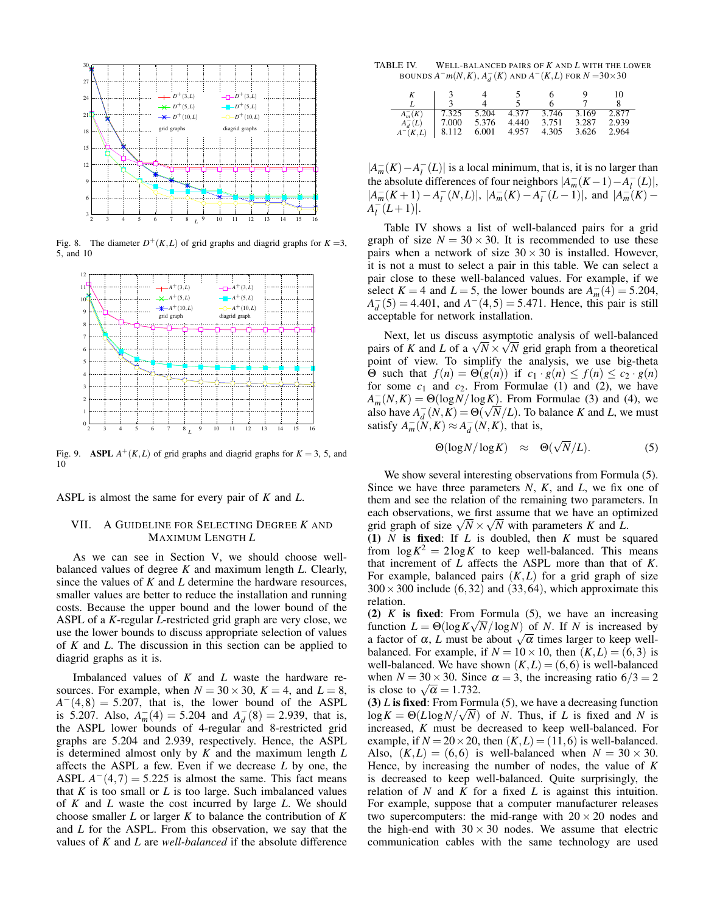

Fig. 8. The diameter  $D^+(K,L)$  of grid graphs and diagrid graphs for  $K=3$ , 5, and 10



Fig. 9. ASPL  $A^+(K,L)$  of grid graphs and diagrid graphs for  $K = 3, 5$ , and 10

ASPL is almost the same for every pair of *K* and *L*.

# VII. A GUIDELINE FOR SELECTING DEGREE *K* AND MAXIMUM LENGTH *L*

As we can see in Section V, we should choose wellbalanced values of degree *K* and maximum length *L*. Clearly, since the values of *K* and *L* determine the hardware resources, smaller values are better to reduce the installation and running costs. Because the upper bound and the lower bound of the ASPL of a *K*-regular *L*-restricted grid graph are very close, we use the lower bounds to discuss appropriate selection of values of *K* and *L*. The discussion in this section can be applied to diagrid graphs as it is.

Imbalanced values of *K* and *L* waste the hardware resources. For example, when  $N = 30 \times 30$ ,  $K = 4$ , and  $L = 8$ ,  $A^{-}(4,8) = 5.207$ , that is, the lower bound of the ASPL is 5.207. Also,  $A_m^-(4) = 5.204$  and  $A_d^-(8) = 2.939$ , that is, the ASPL lower bounds of 4-regular and 8-restricted grid graphs are 5.204 and 2.939, respectively. Hence, the ASPL is determined almost only by *K* and the maximum length *L* affects the ASPL a few. Even if we decrease *L* by one, the ASPL  $A^{-}(4,7) = 5.225$  is almost the same. This fact means that  $K$  is too small or  $L$  is too large. Such imbalanced values of *K* and *L* waste the cost incurred by large *L*. We should choose smaller *L* or larger *K* to balance the contribution of *K* and *L* for the ASPL. From this observation, we say that the values of *K* and *L* are *well-balanced* if the absolute difference

TABLE IV. WELL-BALANCED PAIRS OF *K* AND *L* WITH THE LOWER BOUNDS  $A^- m(N,K)$ ,  $A_d^- (K)$  and  $A^- (K,L)$  for  $N = 30 \times 30$ 

|                |        |             |       |       |       | 10    |
|----------------|--------|-------------|-------|-------|-------|-------|
|                |        |             |       |       |       |       |
| $A_m^-(K)$     | 17.325 | 5.204       | 4.377 | 3.746 | 3.169 | 2.877 |
| $A_{J}^{-}(L)$ | 7.000  | 5.376 4.440 |       | 3.751 | 3.287 | 2.939 |
| $A^-(K,L)$     | 8.112  | 6.001       | 4.957 | 4.305 | 3.626 | 2.964 |

 $|A_m^-(K) - A_l^-(L)|$  is a local minimum, that is, it is no larger than the absolute differences of four neighbors  $|A_m^-(K-1)-A_l^-(L)|$ ,  $|A_m^-(K+1) - A_l^-(N,L)|, |A_m^-(K) - A_l^-(L-1)|, \text{ and } |A_m^-(K) - A_l^-(N,L)|$  $A^{-}_{l}(L+1)|.$ 

Table IV shows a list of well-balanced pairs for a grid graph of size  $N = 30 \times 30$ . It is recommended to use these pairs when a network of size  $30 \times 30$  is installed. However, it is not a must to select a pair in this table. We can select a pair close to these well-balanced values. For example, if we select  $K = 4$  and  $L = 5$ , the lower bounds are  $A_m^-(4) = 5.204$ ,  $A_d^-(5) = 4.401$ , and  $A^-(4,5) = 5.471$ . Hence, this pair is still acceptable for network installation.

Next, let us discuss asymptotic analysis of well-balanced pairs of *K* and *L* of a  $\sqrt{N} \times \sqrt{N}$  grid graph from a theoretical point of view. To simplify the analysis, we use big-theta Θ such that  $f(n) = Θ(g(n))$  if  $c_1 \cdot g(n) \leq f(n) \leq c_2 \cdot g(n)$ for some  $c_1$  and  $c_2$ . From Formulae (1) and (2), we have  $A_m^-(N,K) = \Theta(\log N/\log K)$ . From Formulae (3) and (4), we also have  $A_d^-(N,K) = \Theta(\sqrt{N}/L)$ . To balance *K* and *L*, we must satisfy  $A_m^-(N,K) \approx A_d^-(N,K)$ , that is,

$$
\Theta(\log N/\log K) \quad \approx \quad \Theta(\sqrt{N}/L). \tag{5}
$$

We show several interesting observations from Formula (5). Since we have three parameters *N*, *K*, and *L*, we fix one of them and see the relation of the remaining two parameters. In each observations, we first assume that we have an optimized grid graph of size  $\sqrt{N} \times \sqrt{N}$  with parameters *K* and *L*.

(1) *N* is fixed: If *L* is doubled, then *K* must be squared from  $\log K^2 = 2 \log K$  to keep well-balanced. This means that increment of *L* affects the ASPL more than that of *K*. For example, balanced pairs  $(K, L)$  for a grid graph of size  $300 \times 300$  include (6,32) and (33,64), which approximate this relation.

(2) *K* is fixed: From Formula (5), we have an increasing function  $L = \Theta(\log K \sqrt{N}/\log N)$  of *N*. If *N* is increased by a factor of  $\alpha$ , *L* must be about  $\sqrt{\alpha}$  times larger to keep wellbalanced. For example, if  $N = 10 \times 10$ , then  $(K, L) = (6, 3)$  is well-balanced. We have shown  $(K, L) = (6, 6)$  is well-balanced when  $N = 30 \times 30$ . Since  $\alpha = 3$ , the increasing ratio  $6/3 = 2$ is close to  $\sqrt{\alpha} = 1.732$ .

(3) *L* is fixed: From Formula (5), we have a decreasing function  $\log K = \Theta(L \log N / \sqrt{N})$  of *N*. Thus, if *L* is fixed and *N* is increased, *K* must be decreased to keep well-balanced. For example, if  $N = 20 \times 20$ , then  $(K, L) = (11, 6)$  is well-balanced. Also,  $(K,L) = (6,6)$  is well-balanced when  $N = 30 \times 30$ . Hence, by increasing the number of nodes, the value of *K* is decreased to keep well-balanced. Quite surprisingly, the relation of *N* and *K* for a fixed *L* is against this intuition. For example, suppose that a computer manufacturer releases two supercomputers: the mid-range with  $20 \times 20$  nodes and the high-end with  $30 \times 30$  nodes. We assume that electric communication cables with the same technology are used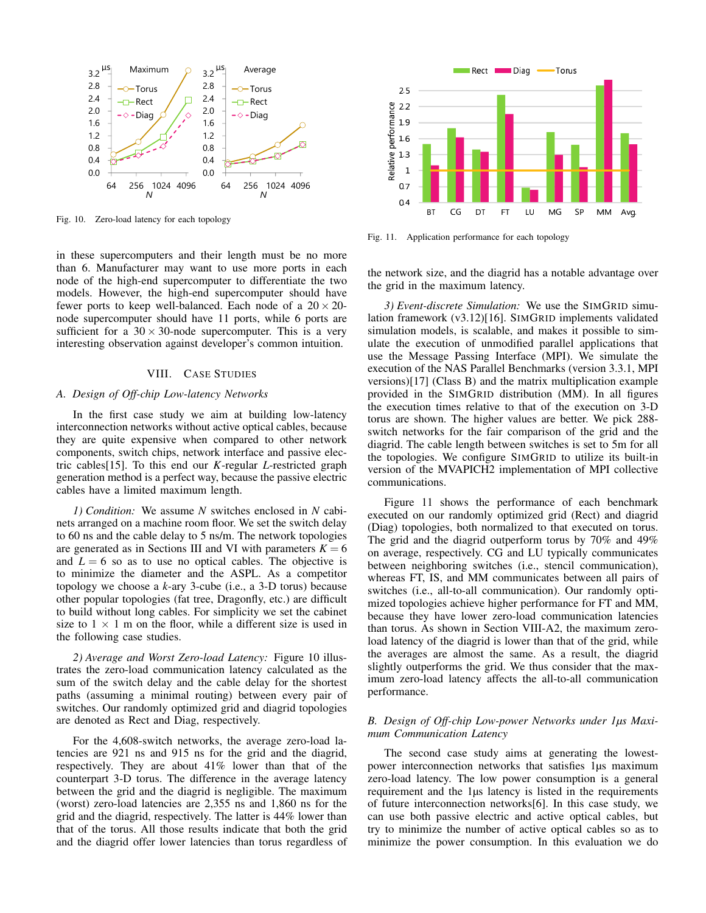

Fig. 10. Zero-load latency for each topology

in these supercomputers and their length must be no more than 6. Manufacturer may want to use more ports in each node of the high-end supercomputer to differentiate the two models. However, the high-end supercomputer should have fewer ports to keep well-balanced. Each node of a  $20 \times 20$ node supercomputer should have 11 ports, while 6 ports are sufficient for a  $30 \times 30$ -node supercomputer. This is a very interesting observation against developer's common intuition.

## VIII. CASE STUDIES

#### *A. Design of Off-chip Low-latency Networks*

In the first case study we aim at building low-latency interconnection networks without active optical cables, because they are quite expensive when compared to other network components, switch chips, network interface and passive electric cables[15]. To this end our *K*-regular *L*-restricted graph generation method is a perfect way, because the passive electric cables have a limited maximum length.

*1) Condition:* We assume *N* switches enclosed in *N* cabinets arranged on a machine room floor. We set the switch delay to 60 ns and the cable delay to 5 ns/m. The network topologies are generated as in Sections III and VI with parameters  $K = 6$ and  $L = 6$  so as to use no optical cables. The objective is to minimize the diameter and the ASPL. As a competitor topology we choose a *k*-ary 3-cube (i.e., a 3-D torus) because other popular topologies (fat tree, Dragonfly, etc.) are difficult to build without long cables. For simplicity we set the cabinet size to  $1 \times 1$  m on the floor, while a different size is used in the following case studies.

*2) Average and Worst Zero-load Latency:* Figure 10 illustrates the zero-load communication latency calculated as the sum of the switch delay and the cable delay for the shortest paths (assuming a minimal routing) between every pair of switches. Our randomly optimized grid and diagrid topologies are denoted as Rect and Diag, respectively.

For the 4,608-switch networks, the average zero-load latencies are 921 ns and 915 ns for the grid and the diagrid, respectively. They are about 41% lower than that of the counterpart 3-D torus. The difference in the average latency between the grid and the diagrid is negligible. The maximum (worst) zero-load latencies are 2,355 ns and 1,860 ns for the grid and the diagrid, respectively. The latter is 44% lower than that of the torus. All those results indicate that both the grid and the diagrid offer lower latencies than torus regardless of



Fig. 11. Application performance for each topology

the network size, and the diagrid has a notable advantage over the grid in the maximum latency.

*3) Event-discrete Simulation:* We use the SIMGRID simulation framework (v3.12)[16]. SIMGRID implements validated simulation models, is scalable, and makes it possible to simulate the execution of unmodified parallel applications that use the Message Passing Interface (MPI). We simulate the execution of the NAS Parallel Benchmarks (version 3.3.1, MPI versions)[17] (Class B) and the matrix multiplication example provided in the SIMGRID distribution (MM). In all figures the execution times relative to that of the execution on 3-D torus are shown. The higher values are better. We pick 288 switch networks for the fair comparison of the grid and the diagrid. The cable length between switches is set to 5m for all the topologies. We configure SIMGRID to utilize its built-in version of the MVAPICH2 implementation of MPI collective communications.

Figure 11 shows the performance of each benchmark executed on our randomly optimized grid (Rect) and diagrid (Diag) topologies, both normalized to that executed on torus. The grid and the diagrid outperform torus by 70% and 49% on average, respectively. CG and LU typically communicates between neighboring switches (i.e., stencil communication), whereas FT, IS, and MM communicates between all pairs of switches (i.e., all-to-all communication). Our randomly optimized topologies achieve higher performance for FT and MM, because they have lower zero-load communication latencies than torus. As shown in Section VIII-A2, the maximum zeroload latency of the diagrid is lower than that of the grid, while the averages are almost the same. As a result, the diagrid slightly outperforms the grid. We thus consider that the maximum zero-load latency affects the all-to-all communication performance.

# *B. Design of Off-chip Low-power Networks under 1µs Maximum Communication Latency*

The second case study aims at generating the lowestpower interconnection networks that satisfies 1µs maximum zero-load latency. The low power consumption is a general requirement and the 1µs latency is listed in the requirements of future interconnection networks[6]. In this case study, we can use both passive electric and active optical cables, but try to minimize the number of active optical cables so as to minimize the power consumption. In this evaluation we do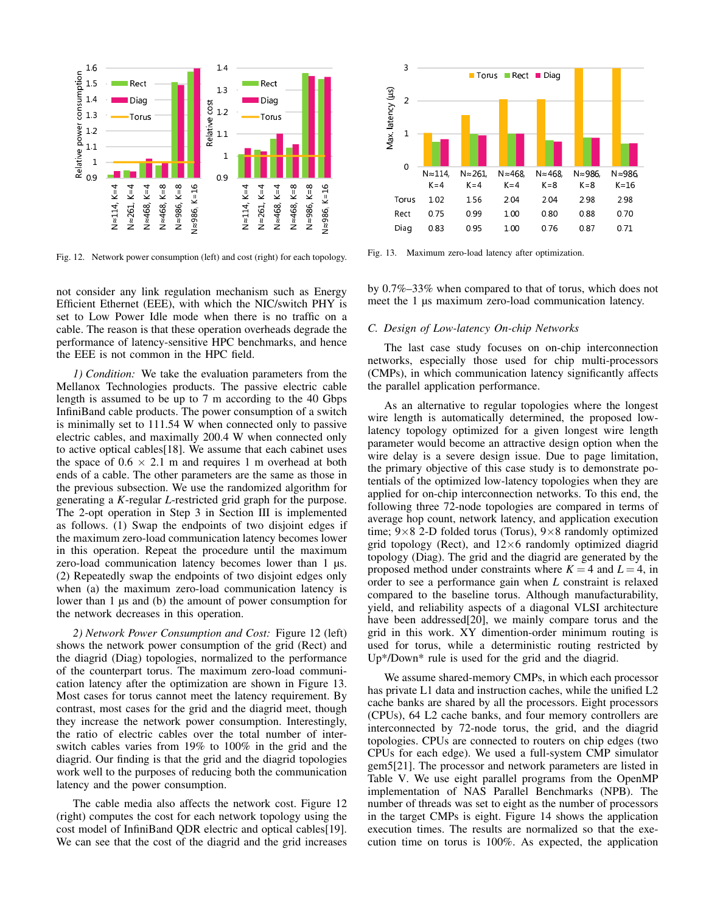

Fig. 12. Network power consumption (left) and cost (right) for each topology.

not consider any link regulation mechanism such as Energy Efficient Ethernet (EEE), with which the NIC/switch PHY is set to Low Power Idle mode when there is no traffic on a cable. The reason is that these operation overheads degrade the performance of latency-sensitive HPC benchmarks, and hence the EEE is not common in the HPC field.

*1) Condition:* We take the evaluation parameters from the Mellanox Technologies products. The passive electric cable length is assumed to be up to 7 m according to the 40 Gbps InfiniBand cable products. The power consumption of a switch is minimally set to 111.54 W when connected only to passive electric cables, and maximally 200.4 W when connected only to active optical cables[18]. We assume that each cabinet uses the space of  $0.6 \times 2.1$  m and requires 1 m overhead at both ends of a cable. The other parameters are the same as those in the previous subsection. We use the randomized algorithm for generating a *K*-regular *L*-restricted grid graph for the purpose. The 2-opt operation in Step 3 in Section III is implemented as follows. (1) Swap the endpoints of two disjoint edges if the maximum zero-load communication latency becomes lower in this operation. Repeat the procedure until the maximum zero-load communication latency becomes lower than 1 µs. (2) Repeatedly swap the endpoints of two disjoint edges only when (a) the maximum zero-load communication latency is lower than 1 µs and (b) the amount of power consumption for the network decreases in this operation.

*2) Network Power Consumption and Cost:* Figure 12 (left) shows the network power consumption of the grid (Rect) and the diagrid (Diag) topologies, normalized to the performance of the counterpart torus. The maximum zero-load communication latency after the optimization are shown in Figure 13. Most cases for torus cannot meet the latency requirement. By contrast, most cases for the grid and the diagrid meet, though they increase the network power consumption. Interestingly, the ratio of electric cables over the total number of interswitch cables varies from 19% to 100% in the grid and the diagrid. Our finding is that the grid and the diagrid topologies work well to the purposes of reducing both the communication latency and the power consumption.

The cable media also affects the network cost. Figure 12 (right) computes the cost for each network topology using the cost model of InfiniBand QDR electric and optical cables[19]. We can see that the cost of the diagrid and the grid increases



Fig. 13. Maximum zero-load latency after optimization.

by 0.7%–33% when compared to that of torus, which does not meet the 1  $\mu$ s maximum zero-load communication latency.

## *C. Design of Low-latency On-chip Networks*

The last case study focuses on on-chip interconnection networks, especially those used for chip multi-processors (CMPs), in which communication latency significantly affects the parallel application performance.

As an alternative to regular topologies where the longest wire length is automatically determined, the proposed lowlatency topology optimized for a given longest wire length parameter would become an attractive design option when the wire delay is a severe design issue. Due to page limitation, the primary objective of this case study is to demonstrate potentials of the optimized low-latency topologies when they are applied for on-chip interconnection networks. To this end, the following three 72-node topologies are compared in terms of average hop count, network latency, and application execution time;  $9 \times 8$  2-D folded torus (Torus),  $9 \times 8$  randomly optimized grid topology (Rect), and  $12\times6$  randomly optimized diagrid topology (Diag). The grid and the diagrid are generated by the proposed method under constraints where  $K = 4$  and  $L = 4$ , in order to see a performance gain when *L* constraint is relaxed compared to the baseline torus. Although manufacturability, yield, and reliability aspects of a diagonal VLSI architecture have been addressed[20], we mainly compare torus and the grid in this work. XY dimention-order minimum routing is used for torus, while a deterministic routing restricted by Up\*/Down\* rule is used for the grid and the diagrid.

We assume shared-memory CMPs, in which each processor has private L1 data and instruction caches, while the unified L2 cache banks are shared by all the processors. Eight processors (CPUs), 64 L2 cache banks, and four memory controllers are interconnected by 72-node torus, the grid, and the diagrid topologies. CPUs are connected to routers on chip edges (two CPUs for each edge). We used a full-system CMP simulator gem5[21]. The processor and network parameters are listed in Table V. We use eight parallel programs from the OpenMP implementation of NAS Parallel Benchmarks (NPB). The number of threads was set to eight as the number of processors in the target CMPs is eight. Figure 14 shows the application execution times. The results are normalized so that the execution time on torus is 100%. As expected, the application